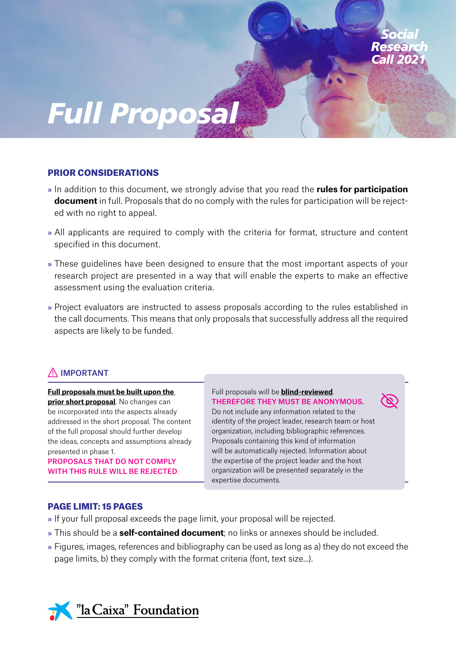

## PRIOR CONSIDERATIONS

- » In addition to this document, we strongly advise that you read the **rules for participation document** in full. Proposals that do no comply with the rules for participation will be rejected with no right to appeal.
- » All applicants are required to comply with the criteria for format, structure and content specified in this document.
- » These guidelines have been designed to ensure that the most important aspects of your research project are presented in a way that will enable the experts to make an effective assessment using the evaluation criteria.
- » Project evaluators are instructed to assess proposals according to the rules established in the call documents. This means that only proposals that successfully address all the required aspects are likely to be funded.

# $\bigwedge$  IMPORTANT

#### **Full proposals must be built upon the**

**prior short proposal**. No changes can be incorporated into the aspects already addressed in the short proposal. The content of the full proposal should further develop the ideas, concepts and assumptions already presented in phase 1.

PROPOSALS THAT DO NOT COMPLY WITH THIS RULE WILL BE REJECTED. Full proposals will be **blind-reviewed**. THEREFORE THEY MUST BE ANONYMOUS.

Do not include any information related to the identity of the project leader, research team or host organization, including bibliographic references. Proposals containing this kind of information will be automatically rejected. Information about the expertise of the project leader and the host organization will be presented separately in the expertise documents.

#### PAGE LIMIT: 15 PAGES

- » If your full proposal exceeds the page limit, your proposal will be rejected.
- » This should be a **self-contained document**; no links or annexes should be included.
- » Figures, images, references and bibliography can be used as long as a) they do not exceed the page limits, b) they comply with the format criteria (font, text size...).